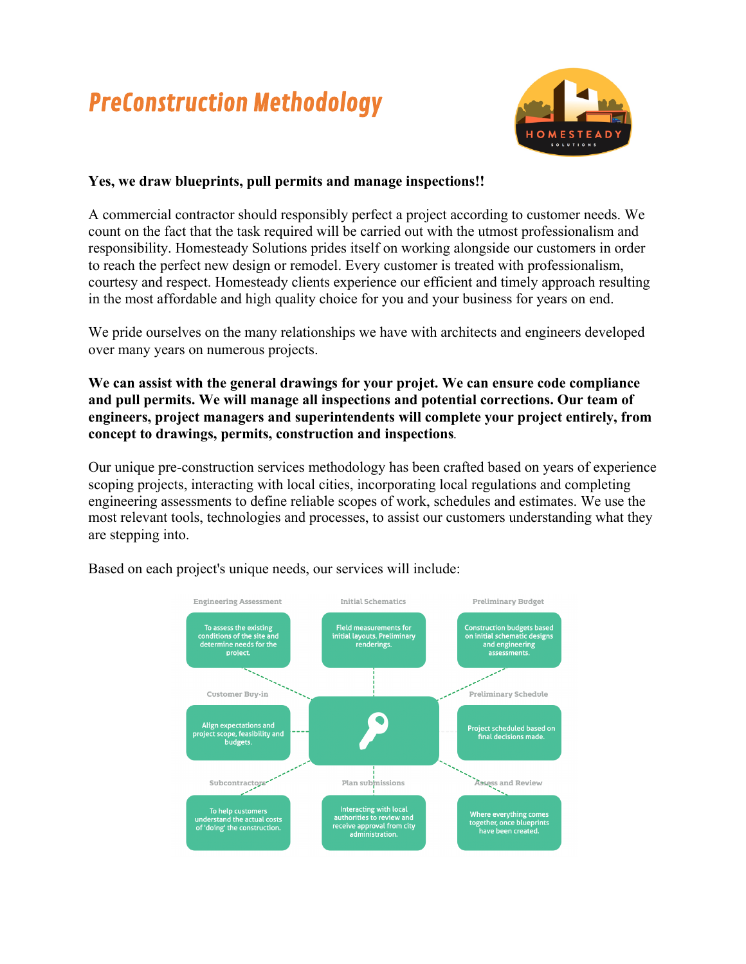## PreConstruction Methodology



## **Yes, we draw blueprints, pull permits and manage inspections!!**

A commercial contractor should responsibly perfect a project according to customer needs. We count on the fact that the task required will be carried out with the utmost professionalism and responsibility. Homesteady Solutions prides itself on working alongside our customers in order to reach the perfect new design or remodel. Every customer is treated with professionalism, courtesy and respect. Homesteady clients experience our efficient and timely approach resulting in the most affordable and high quality choice for you and your business for years on end.

We pride ourselves on the many relationships we have with architects and engineers developed over many years on numerous projects.

**We can assist with the general drawings for your projet. We can ensure code compliance and pull permits. We will manage all inspections and potential corrections. Our team of engineers, project managers and superintendents will complete your project entirely, from concept to drawings, permits, construction and inspections***.*

Our unique pre-construction services methodology has been crafted based on years of experience scoping projects, interacting with local cities, incorporating local regulations and completing engineering assessments to define reliable scopes of work, schedules and estimates. We use the most relevant tools, technologies and processes, to assist our customers understanding what they are stepping into.



Based on each project's unique needs, our services will include: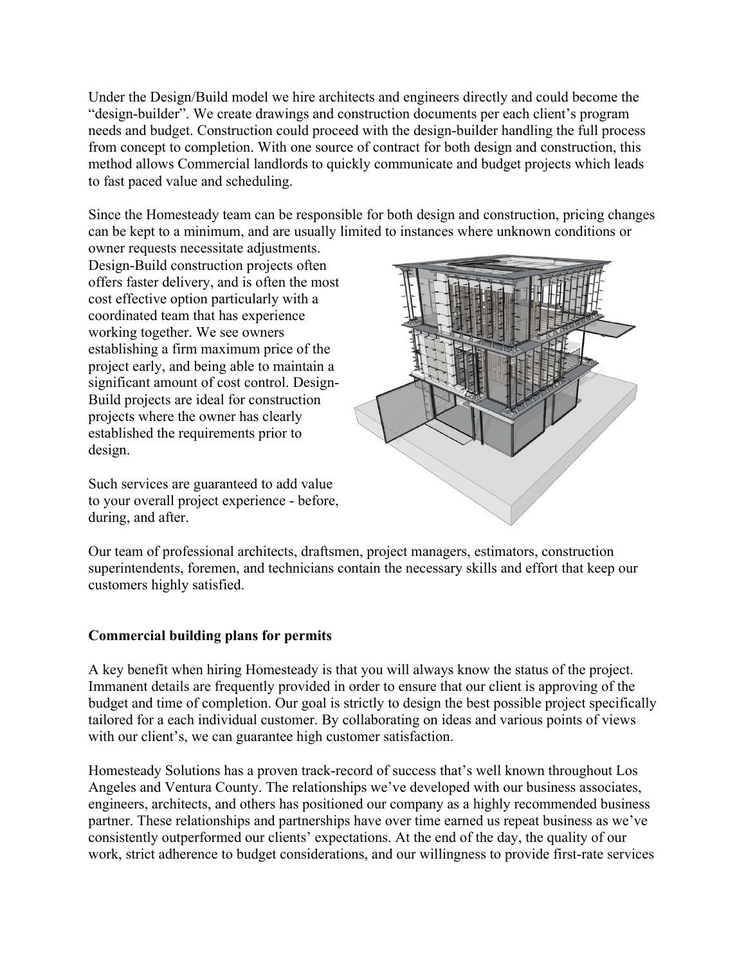Under the Design/Build model we hire architects and engineers directly and could become the "design-builder". We create drawings and construction documents per each client's program needs and budget. Construction could proceed with the design-builder handling the full process from concept to completion. With one source of contract for both design and construction, this method allows Commercial landlords to quickly communicate and budget projects which leads to fast paced value and scheduling.

Since the Homesteady team can be responsible for both design and construction, pricing changes can be kept to a minimum, and are usually limited to instances where unknown conditions or

owner requests necessitate adjustments. Design-Build construction projects often offers faster delivery, and is often the most cost effective option particularly with a coordinated team that has experience working together. We see owners establishing a firm maximum price of the project early, and being able to maintain a significant amount of cost control. Design-Build projects are ideal for construction projects where the owner has clearly established the requirements prior to design.

Such services are guaranteed to add value to your overall project experience - before, during, and after.



Our team of professional architects, draftsmen, project managers, estimators, construction superintendents, foremen, and technicians contain the necessary skills and effort that keep our customers highly satisfied.

## **Commercial building plans for permits**

A key benefit when hiring Homesteady is that you will always know the status of the project. Immanent details are frequently provided in order to ensure that our client is approving of the budget and time of completion. Our goal is strictly to design the best possible project specifically tailored for a each individual customer. By collaborating on ideas and various points of views with our client's, we can guarantee high customer satisfaction.

Homesteady Solutions has a proven track-record of success that's well known throughout Los Angeles and Ventura County. The relationships we've developed with our business associates, engineers, architects, and others has positioned our company as a highly recommended business partner. These relationships and partnerships have over time earned us repeat business as we've consistently outperformed our clients' expectations. At the end of the day, the quality of our work, strict adherence to budget considerations, and our willingness to provide first-rate services